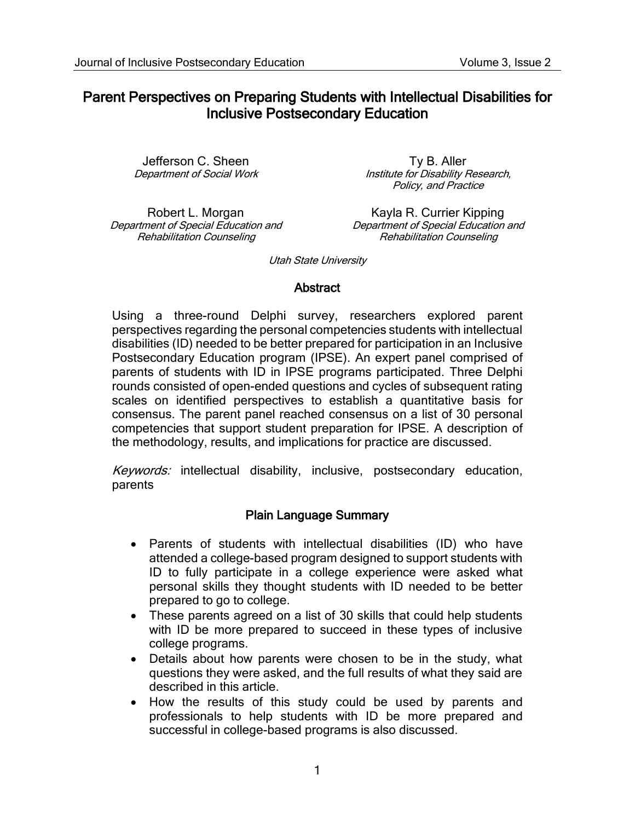# Parent Perspectives on Preparing Students with Intellectual Disabilities for Inclusive Postsecondary Education

Jefferson C. Sheen Department of Social Work

Robert L. Morgan Department of Special Education and Rehabilitation Counseling

Ty B. Aller Institute for Disability Research, Policy, and Practice

Kayla R. Currier Kipping Department of Special Education and Rehabilitation Counseling

Utah State University

#### Abstract

Using a three-round Delphi survey, researchers explored parent perspectives regarding the personal competencies students with intellectual disabilities (ID) needed to be better prepared for participation in an Inclusive Postsecondary Education program (IPSE). An expert panel comprised of parents of students with ID in IPSE programs participated. Three Delphi rounds consisted of open-ended questions and cycles of subsequent rating scales on identified perspectives to establish a quantitative basis for consensus. The parent panel reached consensus on a list of 30 personal competencies that support student preparation for IPSE. A description of the methodology, results, and implications for practice are discussed.

Keywords: intellectual disability, inclusive, postsecondary education, parents

#### Plain Language Summary

- Parents of students with intellectual disabilities (ID) who have attended a college-based program designed to support students with ID to fully participate in a college experience were asked what personal skills they thought students with ID needed to be better prepared to go to college.
- These parents agreed on a list of 30 skills that could help students with ID be more prepared to succeed in these types of inclusive college programs.
- Details about how parents were chosen to be in the study, what questions they were asked, and the full results of what they said are described in this article.
- How the results of this study could be used by parents and professionals to help students with ID be more prepared and successful in college-based programs is also discussed.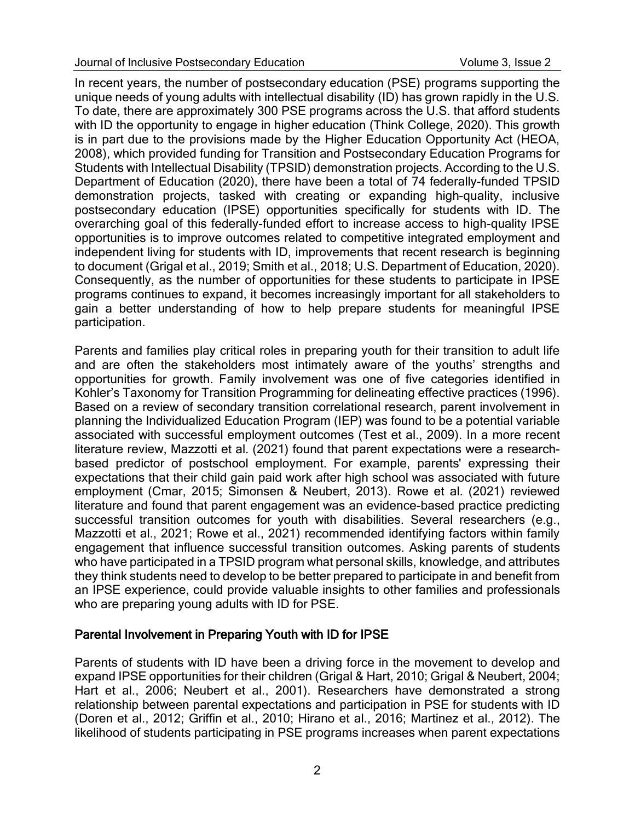In recent years, the number of postsecondary education (PSE) programs supporting the unique needs of young adults with intellectual disability (ID) has grown rapidly in the U.S. To date, there are approximately 300 PSE programs across the U.S. that afford students with ID the opportunity to engage in higher education (Think College, 2020). This growth is in part due to the provisions made by the Higher Education Opportunity Act (HEOA, 2008), which provided funding for Transition and Postsecondary Education Programs for Students with Intellectual Disability (TPSID) demonstration projects. According to the U.S. Department of Education (2020), there have been a total of 74 federally-funded TPSID demonstration projects, tasked with creating or expanding high-quality, inclusive postsecondary education (IPSE) opportunities specifically for students with ID. The overarching goal of this federally-funded effort to increase access to high-quality IPSE opportunities is to improve outcomes related to competitive integrated employment and independent living for students with ID, improvements that recent research is beginning to document (Grigal et al., 2019; Smith et al., 2018; U.S. Department of Education, 2020). Consequently, as the number of opportunities for these students to participate in IPSE programs continues to expand, it becomes increasingly important for all stakeholders to gain a better understanding of how to help prepare students for meaningful IPSE participation.

Parents and families play critical roles in preparing youth for their transition to adult life and are often the stakeholders most intimately aware of the youths' strengths and opportunities for growth. Family involvement was one of five categories identified in Kohler's Taxonomy for Transition Programming for delineating effective practices (1996). Based on a review of secondary transition correlational research, parent involvement in planning the Individualized Education Program (IEP) was found to be a potential variable associated with successful employment outcomes (Test et al., 2009). In a more recent literature review, Mazzotti et al. (2021) found that parent expectations were a researchbased predictor of postschool employment. For example, parents' expressing their expectations that their child gain paid work after high school was associated with future employment (Cmar, 2015; Simonsen & Neubert, 2013). Rowe et al. (2021) reviewed literature and found that parent engagement was an evidence-based practice predicting successful transition outcomes for youth with disabilities. Several researchers (e.g., Mazzotti et al., 2021; Rowe et al., 2021) recommended identifying factors within family engagement that influence successful transition outcomes. Asking parents of students who have participated in a TPSID program what personal skills, knowledge, and attributes they think students need to develop to be better prepared to participate in and benefit from an IPSE experience, could provide valuable insights to other families and professionals who are preparing young adults with ID for PSE.

#### Parental Involvement in Preparing Youth with ID for IPSE

Parents of students with ID have been a driving force in the movement to develop and expand IPSE opportunities for their children (Grigal & Hart, 2010; Grigal & Neubert, 2004; Hart et al., 2006; Neubert et al., 2001). Researchers have demonstrated a strong relationship between parental expectations and participation in PSE for students with ID (Doren et al., 2012; Griffin et al., 2010; Hirano et al., 2016; Martinez et al., 2012). The likelihood of students participating in PSE programs increases when parent expectations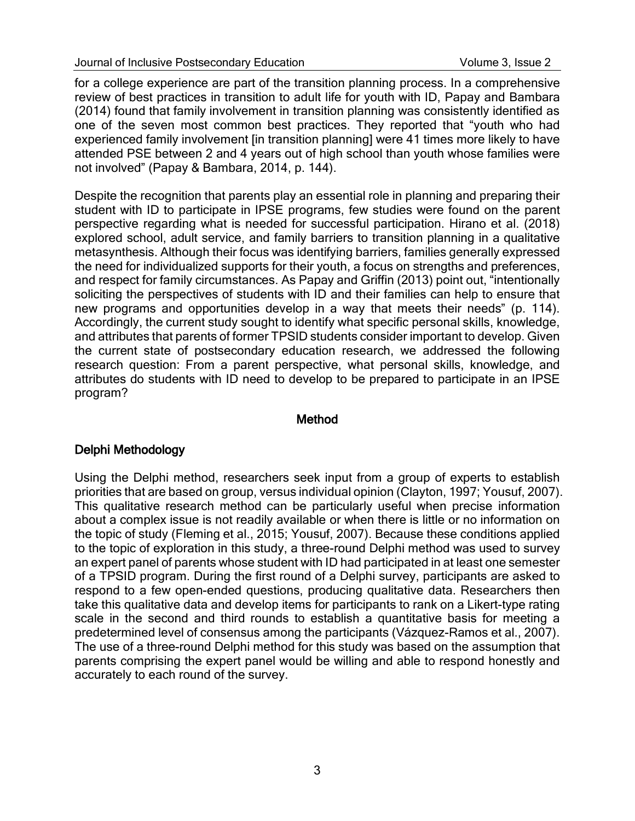for a college experience are part of the transition planning process. In a comprehensive review of best practices in transition to adult life for youth with ID, Papay and Bambara (2014) found that family involvement in transition planning was consistently identified as one of the seven most common best practices. They reported that "youth who had experienced family involvement [in transition planning] were 41 times more likely to have attended PSE between 2 and 4 years out of high school than youth whose families were not involved" (Papay & Bambara, 2014, p. 144).

Despite the recognition that parents play an essential role in planning and preparing their student with ID to participate in IPSE programs, few studies were found on the parent perspective regarding what is needed for successful participation. Hirano et al. (2018) explored school, adult service, and family barriers to transition planning in a qualitative metasynthesis. Although their focus was identifying barriers, families generally expressed the need for individualized supports for their youth, a focus on strengths and preferences, and respect for family circumstances. As Papay and Griffin (2013) point out, "intentionally soliciting the perspectives of students with ID and their families can help to ensure that new programs and opportunities develop in a way that meets their needs" (p. 114). Accordingly, the current study sought to identify what specific personal skills, knowledge, and attributes that parents of former TPSID students consider important to develop. Given the current state of postsecondary education research, we addressed the following research question: From a parent perspective, what personal skills, knowledge, and attributes do students with ID need to develop to be prepared to participate in an IPSE program?

#### Method

## Delphi Methodology

Using the Delphi method, researchers seek input from a group of experts to establish priorities that are based on group, versus individual opinion (Clayton, 1997; Yousuf, 2007). This qualitative research method can be particularly useful when precise information about a complex issue is not readily available or when there is little or no information on the topic of study (Fleming et al., 2015; Yousuf, 2007). Because these conditions applied to the topic of exploration in this study, a three-round Delphi method was used to survey an expert panel of parents whose student with ID had participated in at least one semester of a TPSID program. During the first round of a Delphi survey, participants are asked to respond to a few open-ended questions, producing qualitative data. Researchers then take this qualitative data and develop items for participants to rank on a Likert-type rating scale in the second and third rounds to establish a quantitative basis for meeting a predetermined level of consensus among the participants (Vázquez-Ramos et al., 2007). The use of a three-round Delphi method for this study was based on the assumption that parents comprising the expert panel would be willing and able to respond honestly and accurately to each round of the survey.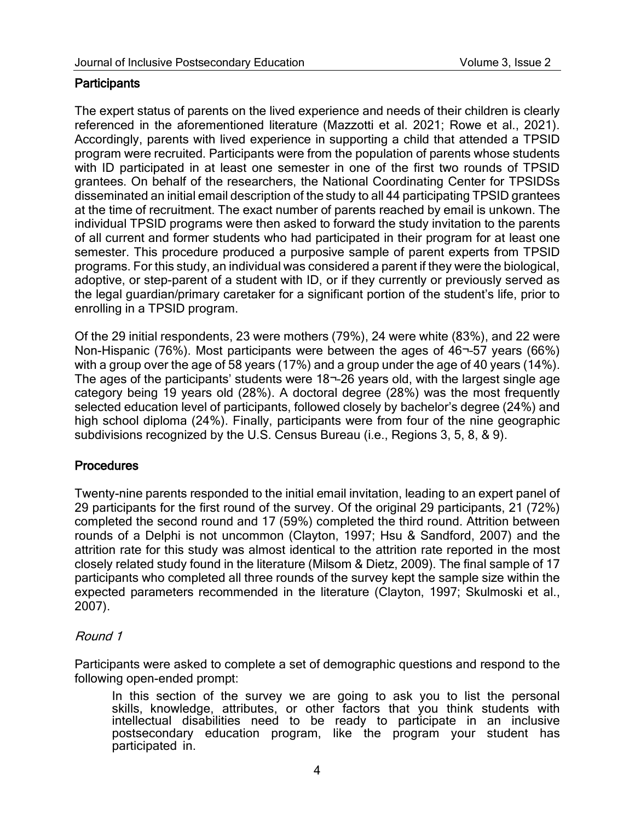#### **Participants**

The expert status of parents on the lived experience and needs of their children is clearly referenced in the aforementioned literature (Mazzotti et al. 2021; Rowe et al., 2021). Accordingly, parents with lived experience in supporting a child that attended a TPSID program were recruited. Participants were from the population of parents whose students with ID participated in at least one semester in one of the first two rounds of TPSID grantees. On behalf of the researchers, the National Coordinating Center for TPSIDSs disseminated an initial email description of the study to all 44 participating TPSID grantees at the time of recruitment. The exact number of parents reached by email is unkown. The individual TPSID programs were then asked to forward the study invitation to the parents of all current and former students who had participated in their program for at least one semester. This procedure produced a purposive sample of parent experts from TPSID programs. For this study, an individual was considered a parent if they were the biological, adoptive, or step-parent of a student with ID, or if they currently or previously served as the legal guardian/primary caretaker for a significant portion of the student's life, prior to enrolling in a TPSID program.

Of the 29 initial respondents, 23 were mothers (79%), 24 were white (83%), and 22 were Non-Hispanic (76%). Most participants were between the ages of 46¬–57 years (66%) with a group over the age of 58 years (17%) and a group under the age of 40 years (14%). The ages of the participants' students were 18¬–26 years old, with the largest single age category being 19 years old (28%). A doctoral degree (28%) was the most frequently selected education level of participants, followed closely by bachelor's degree (24%) and high school diploma (24%). Finally, participants were from four of the nine geographic subdivisions recognized by the U.S. Census Bureau (i.e., Regions 3, 5, 8, & 9).

#### **Procedures**

Twenty-nine parents responded to the initial email invitation, leading to an expert panel of 29 participants for the first round of the survey. Of the original 29 participants, 21 (72%) completed the second round and 17 (59%) completed the third round. Attrition between rounds of a Delphi is not uncommon (Clayton, 1997; Hsu & Sandford, 2007) and the attrition rate for this study was almost identical to the attrition rate reported in the most closely related study found in the literature (Milsom & Dietz, 2009). The final sample of 17 participants who completed all three rounds of the survey kept the sample size within the expected parameters recommended in the literature (Clayton, 1997; Skulmoski et al., 2007).

## Round 1

Participants were asked to complete a set of demographic questions and respond to the following open-ended prompt:

In this section of the survey we are going to ask you to list the personal skills, knowledge, attributes, or other factors that you think students with intellectual disabilities need to be ready to participate in an inclusive postsecondary education program, like the program your student has participated in.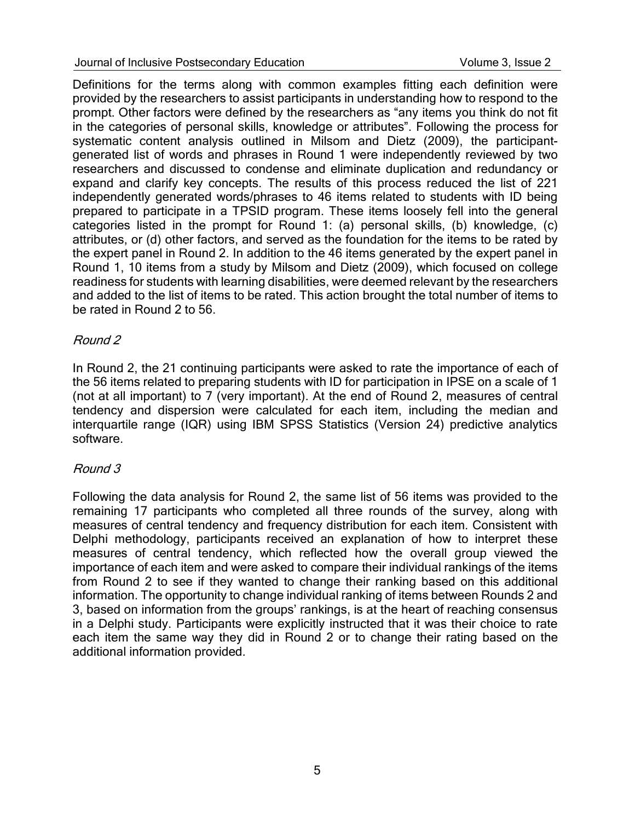Definitions for the terms along with common examples fitting each definition were provided by the researchers to assist participants in understanding how to respond to the prompt. Other factors were defined by the researchers as "any items you think do not fit in the categories of personal skills, knowledge or attributes". Following the process for systematic content analysis outlined in Milsom and Dietz (2009), the participantgenerated list of words and phrases in Round 1 were independently reviewed by two researchers and discussed to condense and eliminate duplication and redundancy or expand and clarify key concepts. The results of this process reduced the list of 221 independently generated words/phrases to 46 items related to students with ID being prepared to participate in a TPSID program. These items loosely fell into the general categories listed in the prompt for Round 1: (a) personal skills, (b) knowledge, (c) attributes, or (d) other factors, and served as the foundation for the items to be rated by the expert panel in Round 2. In addition to the 46 items generated by the expert panel in Round 1, 10 items from a study by Milsom and Dietz (2009), which focused on college readiness for students with learning disabilities, were deemed relevant by the researchers and added to the list of items to be rated. This action brought the total number of items to be rated in Round 2 to 56.

## Round 2

In Round 2, the 21 continuing participants were asked to rate the importance of each of the 56 items related to preparing students with ID for participation in IPSE on a scale of 1 (not at all important) to 7 (very important). At the end of Round 2, measures of central tendency and dispersion were calculated for each item, including the median and interquartile range (IQR) using IBM SPSS Statistics (Version 24) predictive analytics software.

#### Round 3

Following the data analysis for Round 2, the same list of 56 items was provided to the remaining 17 participants who completed all three rounds of the survey, along with measures of central tendency and frequency distribution for each item. Consistent with Delphi methodology, participants received an explanation of how to interpret these measures of central tendency, which reflected how the overall group viewed the importance of each item and were asked to compare their individual rankings of the items from Round 2 to see if they wanted to change their ranking based on this additional information. The opportunity to change individual ranking of items between Rounds 2 and 3, based on information from the groups' rankings, is at the heart of reaching consensus in a Delphi study. Participants were explicitly instructed that it was their choice to rate each item the same way they did in Round 2 or to change their rating based on the additional information provided.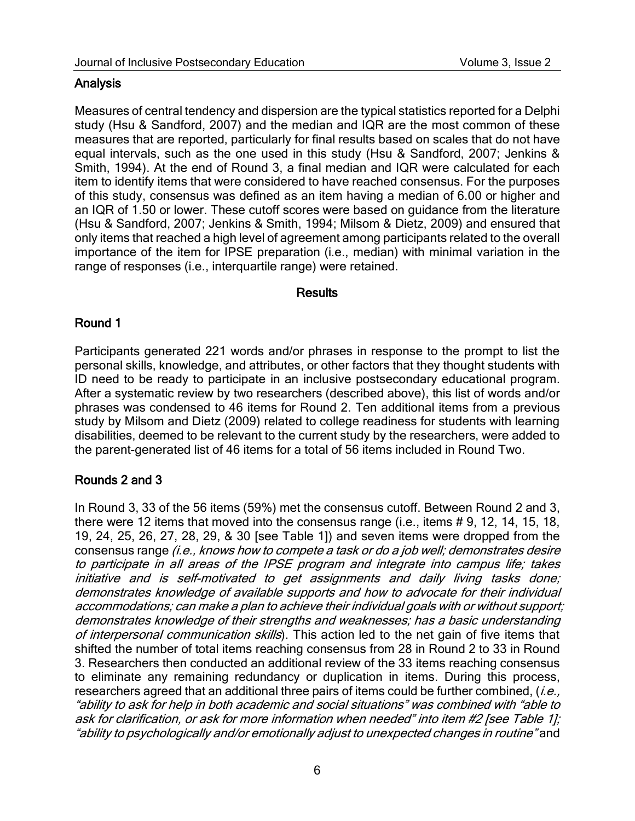## **Analysis**

Measures of central tendency and dispersion are the typical statistics reported for a Delphi study (Hsu & Sandford, 2007) and the median and IQR are the most common of these measures that are reported, particularly for final results based on scales that do not have equal intervals, such as the one used in this study (Hsu & Sandford, 2007; Jenkins & Smith, 1994). At the end of Round 3, a final median and IQR were calculated for each item to identify items that were considered to have reached consensus. For the purposes of this study, consensus was defined as an item having a median of 6.00 or higher and an IQR of 1.50 or lower. These cutoff scores were based on guidance from the literature (Hsu & Sandford, 2007; Jenkins & Smith, 1994; Milsom & Dietz, 2009) and ensured that only items that reached a high level of agreement among participants related to the overall importance of the item for IPSE preparation (i.e., median) with minimal variation in the range of responses (i.e., interquartile range) were retained.

#### **Results**

## Round 1

Participants generated 221 words and/or phrases in response to the prompt to list the personal skills, knowledge, and attributes, or other factors that they thought students with ID need to be ready to participate in an inclusive postsecondary educational program. After a systematic review by two researchers (described above), this list of words and/or phrases was condensed to 46 items for Round 2. Ten additional items from a previous study by Milsom and Dietz (2009) related to college readiness for students with learning disabilities, deemed to be relevant to the current study by the researchers, were added to the parent-generated list of 46 items for a total of 56 items included in Round Two.

# Rounds 2 and 3

In Round 3, 33 of the 56 items (59%) met the consensus cutoff. Between Round 2 and 3, there were 12 items that moved into the consensus range (i.e., items # 9, 12, 14, 15, 18, 19, 24, 25, 26, 27, 28, 29, & 30 [see Table 1]) and seven items were dropped from the consensus range (i.e., knows how to compete a task or do a job well; demonstrates desire to participate in all areas of the IPSE program and integrate into campus life; takes initiative and is self-motivated to get assignments and daily living tasks done; demonstrates knowledge of available supports and how to advocate for their individual accommodations; can make a plan to achieve their individual goals with or without support; demonstrates knowledge of their strengths and weaknesses; has a basic understanding of interpersonal communication skills). This action led to the net gain of five items that shifted the number of total items reaching consensus from 28 in Round 2 to 33 in Round 3. Researchers then conducted an additional review of the 33 items reaching consensus to eliminate any remaining redundancy or duplication in items. During this process, researchers agreed that an additional three pairs of items could be further combined,  $(i.e.,$ "ability to ask for help in both academic and social situations" was combined with "able to ask for clarification, or ask for more information when needed" into item #2 [see Table 1]; "ability to psychologically and/or emotionally adjust to unexpected changes in routine" and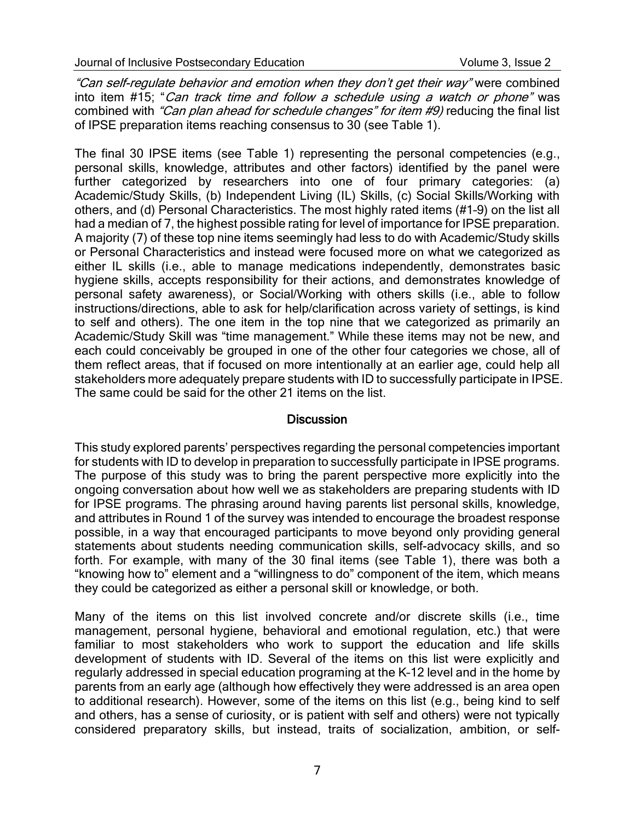"Can self-regulate behavior and emotion when they don't get their way" were combined into item #15; "Can track time and follow a schedule using a watch or phone" was combined with "Can plan ahead for schedule changes" for item #9) reducing the final list of IPSE preparation items reaching consensus to 30 (see Table 1).

The final 30 IPSE items (see Table 1) representing the personal competencies (e.g., personal skills, knowledge, attributes and other factors) identified by the panel were further categorized by researchers into one of four primary categories: (a) Academic/Study Skills, (b) Independent Living (IL) Skills, (c) Social Skills/Working with others, and (d) Personal Characteristics. The most highly rated items (#1–9) on the list all had a median of 7, the highest possible rating for level of importance for IPSE preparation. A majority (7) of these top nine items seemingly had less to do with Academic/Study skills or Personal Characteristics and instead were focused more on what we categorized as either IL skills (i.e., able to manage medications independently, demonstrates basic hygiene skills, accepts responsibility for their actions, and demonstrates knowledge of personal safety awareness), or Social/Working with others skills (i.e., able to follow instructions/directions, able to ask for help/clarification across variety of settings, is kind to self and others). The one item in the top nine that we categorized as primarily an Academic/Study Skill was "time management." While these items may not be new, and each could conceivably be grouped in one of the other four categories we chose, all of them reflect areas, that if focused on more intentionally at an earlier age, could help all stakeholders more adequately prepare students with ID to successfully participate in IPSE. The same could be said for the other 21 items on the list.

#### **Discussion**

This study explored parents' perspectives regarding the personal competencies important for students with ID to develop in preparation to successfully participate in IPSE programs. The purpose of this study was to bring the parent perspective more explicitly into the ongoing conversation about how well we as stakeholders are preparing students with ID for IPSE programs. The phrasing around having parents list personal skills, knowledge, and attributes in Round 1 of the survey was intended to encourage the broadest response possible, in a way that encouraged participants to move beyond only providing general statements about students needing communication skills, self-advocacy skills, and so forth. For example, with many of the 30 final items (see Table 1), there was both a "knowing how to" element and a "willingness to do" component of the item, which means they could be categorized as either a personal skill or knowledge, or both.

Many of the items on this list involved concrete and/or discrete skills (i.e., time management, personal hygiene, behavioral and emotional regulation, etc.) that were familiar to most stakeholders who work to support the education and life skills development of students with ID. Several of the items on this list were explicitly and regularly addressed in special education programing at the K–12 level and in the home by parents from an early age (although how effectively they were addressed is an area open to additional research). However, some of the items on this list (e.g., being kind to self and others, has a sense of curiosity, or is patient with self and others) were not typically considered preparatory skills, but instead, traits of socialization, ambition, or self-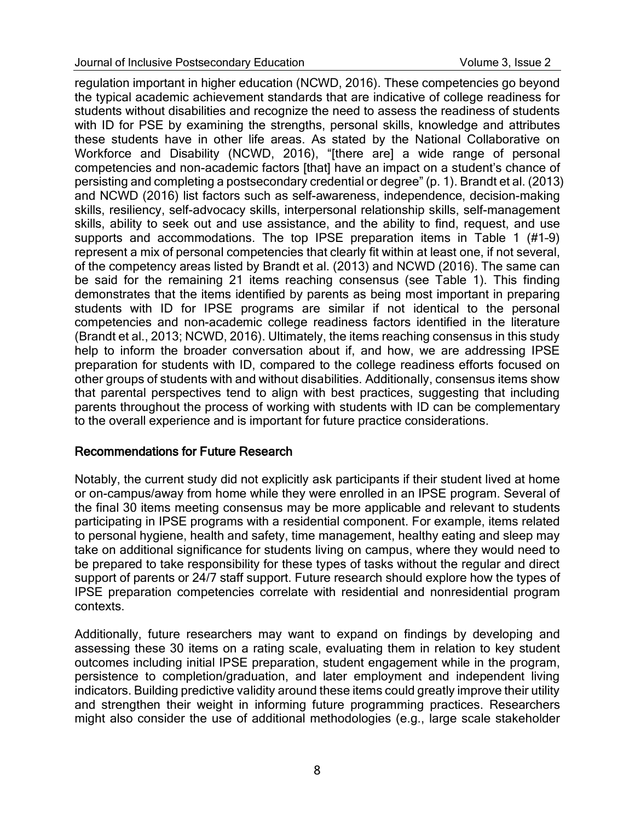regulation important in higher education (NCWD, 2016). These competencies go beyond the typical academic achievement standards that are indicative of college readiness for students without disabilities and recognize the need to assess the readiness of students with ID for PSE by examining the strengths, personal skills, knowledge and attributes these students have in other life areas. As stated by the National Collaborative on Workforce and Disability (NCWD, 2016), "[there are] a wide range of personal competencies and non-academic factors [that] have an impact on a student's chance of persisting and completing a postsecondary credential or degree" (p. 1). Brandt et al. (2013) and NCWD (2016) list factors such as self-awareness, independence, decision-making skills, resiliency, self-advocacy skills, interpersonal relationship skills, self-management skills, ability to seek out and use assistance, and the ability to find, request, and use supports and accommodations. The top IPSE preparation items in Table 1 (#1–9) represent a mix of personal competencies that clearly fit within at least one, if not several, of the competency areas listed by Brandt et al. (2013) and NCWD (2016). The same can be said for the remaining 21 items reaching consensus (see Table 1). This finding demonstrates that the items identified by parents as being most important in preparing students with ID for IPSE programs are similar if not identical to the personal competencies and non-academic college readiness factors identified in the literature (Brandt et al., 2013; NCWD, 2016). Ultimately, the items reaching consensus in this study help to inform the broader conversation about if, and how, we are addressing IPSE preparation for students with ID, compared to the college readiness efforts focused on other groups of students with and without disabilities. Additionally, consensus items show that parental perspectives tend to align with best practices, suggesting that including parents throughout the process of working with students with ID can be complementary to the overall experience and is important for future practice considerations.

## Recommendations for Future Research

Notably, the current study did not explicitly ask participants if their student lived at home or on-campus/away from home while they were enrolled in an IPSE program. Several of the final 30 items meeting consensus may be more applicable and relevant to students participating in IPSE programs with a residential component. For example, items related to personal hygiene, health and safety, time management, healthy eating and sleep may take on additional significance for students living on campus, where they would need to be prepared to take responsibility for these types of tasks without the regular and direct support of parents or 24/7 staff support. Future research should explore how the types of IPSE preparation competencies correlate with residential and nonresidential program contexts.

Additionally, future researchers may want to expand on findings by developing and assessing these 30 items on a rating scale, evaluating them in relation to key student outcomes including initial IPSE preparation, student engagement while in the program, persistence to completion/graduation, and later employment and independent living indicators. Building predictive validity around these items could greatly improve their utility and strengthen their weight in informing future programming practices. Researchers might also consider the use of additional methodologies (e.g., large scale stakeholder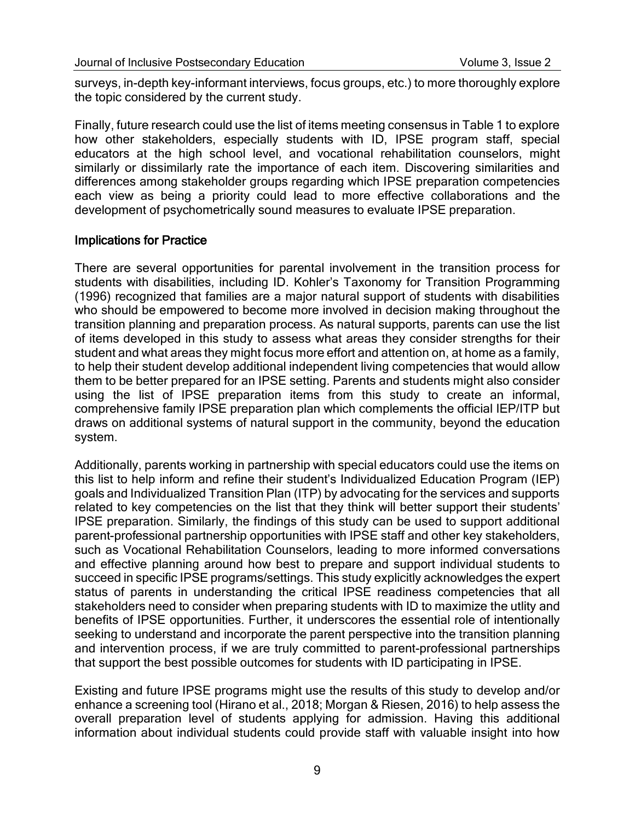surveys, in-depth key-informant interviews, focus groups, etc.) to more thoroughly explore the topic considered by the current study.

Finally, future research could use the list of items meeting consensus in Table 1 to explore how other stakeholders, especially students with ID, IPSE program staff, special educators at the high school level, and vocational rehabilitation counselors, might similarly or dissimilarly rate the importance of each item. Discovering similarities and differences among stakeholder groups regarding which IPSE preparation competencies each view as being a priority could lead to more effective collaborations and the development of psychometrically sound measures to evaluate IPSE preparation.

#### Implications for Practice

There are several opportunities for parental involvement in the transition process for students with disabilities, including ID. Kohler's Taxonomy for Transition Programming (1996) recognized that families are a major natural support of students with disabilities who should be empowered to become more involved in decision making throughout the transition planning and preparation process. As natural supports, parents can use the list of items developed in this study to assess what areas they consider strengths for their student and what areas they might focus more effort and attention on, at home as a family, to help their student develop additional independent living competencies that would allow them to be better prepared for an IPSE setting. Parents and students might also consider using the list of IPSE preparation items from this study to create an informal, comprehensive family IPSE preparation plan which complements the official IEP/ITP but draws on additional systems of natural support in the community, beyond the education system.

Additionally, parents working in partnership with special educators could use the items on this list to help inform and refine their student's Individualized Education Program (IEP) goals and Individualized Transition Plan (ITP) by advocating for the services and supports related to key competencies on the list that they think will better support their students' IPSE preparation. Similarly, the findings of this study can be used to support additional parent-professional partnership opportunities with IPSE staff and other key stakeholders, such as Vocational Rehabilitation Counselors, leading to more informed conversations and effective planning around how best to prepare and support individual students to succeed in specific IPSE programs/settings. This study explicitly acknowledges the expert status of parents in understanding the critical IPSE readiness competencies that all stakeholders need to consider when preparing students with ID to maximize the utlity and benefits of IPSE opportunities. Further, it underscores the essential role of intentionally seeking to understand and incorporate the parent perspective into the transition planning and intervention process, if we are truly committed to parent-professional partnerships that support the best possible outcomes for students with ID participating in IPSE.

Existing and future IPSE programs might use the results of this study to develop and/or enhance a screening tool (Hirano et al., 2018; Morgan & Riesen, 2016) to help assess the overall preparation level of students applying for admission. Having this additional information about individual students could provide staff with valuable insight into how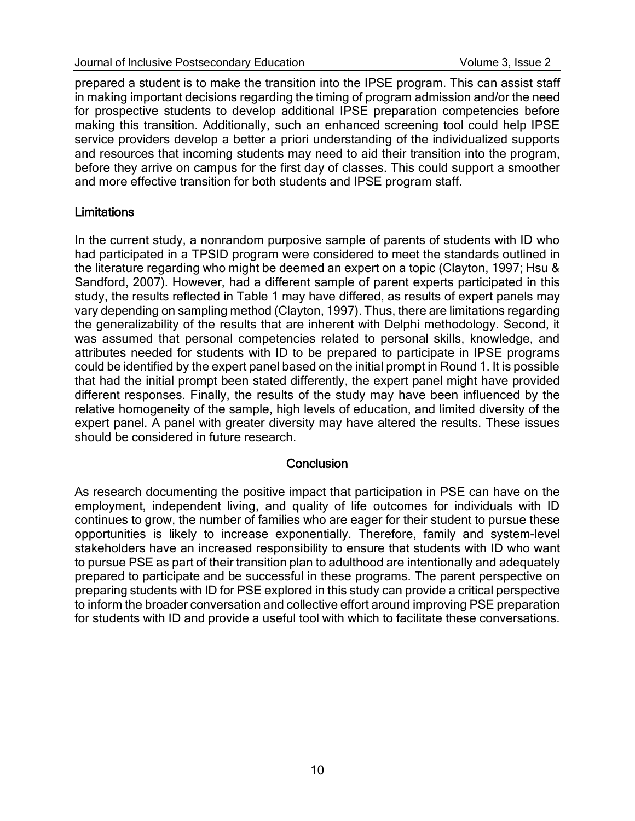prepared a student is to make the transition into the IPSE program. This can assist staff in making important decisions regarding the timing of program admission and/or the need for prospective students to develop additional IPSE preparation competencies before making this transition. Additionally, such an enhanced screening tool could help IPSE service providers develop a better a priori understanding of the individualized supports and resources that incoming students may need to aid their transition into the program, before they arrive on campus for the first day of classes. This could support a smoother and more effective transition for both students and IPSE program staff.

## **Limitations**

In the current study, a nonrandom purposive sample of parents of students with ID who had participated in a TPSID program were considered to meet the standards outlined in the literature regarding who might be deemed an expert on a topic (Clayton, 1997; Hsu & Sandford, 2007). However, had a different sample of parent experts participated in this study, the results reflected in Table 1 may have differed, as results of expert panels may vary depending on sampling method (Clayton, 1997). Thus, there are limitations regarding the generalizability of the results that are inherent with Delphi methodology. Second, it was assumed that personal competencies related to personal skills, knowledge, and attributes needed for students with ID to be prepared to participate in IPSE programs could be identified by the expert panel based on the initial prompt in Round 1. It is possible that had the initial prompt been stated differently, the expert panel might have provided different responses. Finally, the results of the study may have been influenced by the relative homogeneity of the sample, high levels of education, and limited diversity of the expert panel. A panel with greater diversity may have altered the results. These issues should be considered in future research.

#### **Conclusion**

As research documenting the positive impact that participation in PSE can have on the employment, independent living, and quality of life outcomes for individuals with ID continues to grow, the number of families who are eager for their student to pursue these opportunities is likely to increase exponentially. Therefore, family and system-level stakeholders have an increased responsibility to ensure that students with ID who want to pursue PSE as part of their transition plan to adulthood are intentionally and adequately prepared to participate and be successful in these programs. The parent perspective on preparing students with ID for PSE explored in this study can provide a critical perspective to inform the broader conversation and collective effort around improving PSE preparation for students with ID and provide a useful tool with which to facilitate these conversations.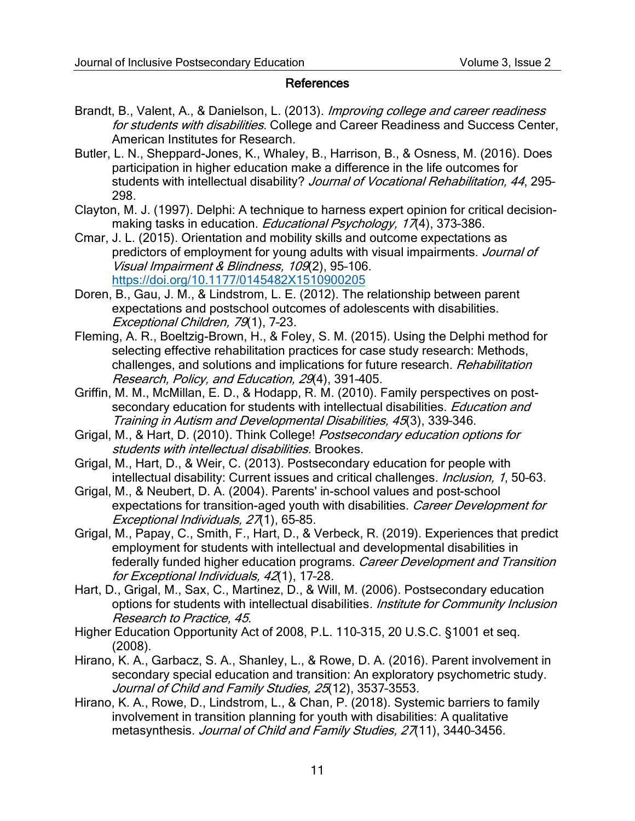#### References

- Brandt, B., Valent, A., & Danielson, L. (2013). Improving college and career readiness for students with disabilities. College and Career Readiness and Success Center, American Institutes for Research.
- Butler, L. N., Sheppard-Jones, K., Whaley, B., Harrison, B., & Osness, M. (2016). Does participation in higher education make a difference in the life outcomes for students with intellectual disability? Journal of Vocational Rehabilitation, 44, 295-298.
- Clayton, M. J. (1997). Delphi: A technique to harness expert opinion for critical decisionmaking tasks in education. *Educational Psychology*, 17(4), 373-386.
- Cmar, J. L. (2015). Orientation and mobility skills and outcome expectations as predictors of employment for young adults with visual impairments. Journal of Visual Impairment & Blindness, 109(2), 95–106. <https://doi.org/10.1177/0145482X1510900205>
- Doren, B., Gau, J. M., & Lindstrom, L. E. (2012). The relationship between parent expectations and postschool outcomes of adolescents with disabilities. Exceptional Children, 79(1), 7–23.
- Fleming, A. R., Boeltzig-Brown, H., & Foley, S. M. (2015). Using the Delphi method for selecting effective rehabilitation practices for case study research: Methods, challenges, and solutions and implications for future research. Rehabilitation Research, Policy, and Education, 29(4), 391–405.
- Griffin, M. M., McMillan, E. D., & Hodapp, R. M. (2010). Family perspectives on postsecondary education for students with intellectual disabilities. Education and Training in Autism and Developmental Disabilities, 45(3), 339–346.
- Grigal, M., & Hart, D. (2010). Think College! Postsecondary education options for students with intellectual disabilities. Brookes.
- Grigal, M., Hart, D., & Weir, C. (2013). Postsecondary education for people with intellectual disability: Current issues and critical challenges. *Inclusion*, 1, 50-63.
- Grigal, M., & Neubert, D. A. (2004). Parents' in-school values and post-school expectations for transition-aged youth with disabilities. Career Development for Exceptional Individuals, 27(1), 65-85.
- Grigal, M., Papay, C., Smith, F., Hart, D., & Verbeck, R. (2019). Experiences that predict employment for students with intellectual and developmental disabilities in federally funded higher education programs. Career Development and Transition for Exceptional Individuals, 42(1), 17–28.
- Hart, D., Grigal, M., Sax, C., Martinez, D., & Will, M. (2006). Postsecondary education options for students with intellectual disabilities. *Institute for Community Inclusion* Research to Practice, 45.
- Higher Education Opportunity Act of 2008, P.L. 110–315, 20 U.S.C. §1001 et seq. (2008).
- Hirano, K. A., Garbacz, S. A., Shanley, L., & Rowe, D. A. (2016). Parent involvement in secondary special education and transition: An exploratory psychometric study. Journal of Child and Family Studies, 25(12), 3537-3553.
- Hirano, K. A., Rowe, D., Lindstrom, L., & Chan, P. (2018). Systemic barriers to family involvement in transition planning for youth with disabilities: A qualitative metasynthesis. Journal of Child and Family Studies, 27(11), 3440-3456.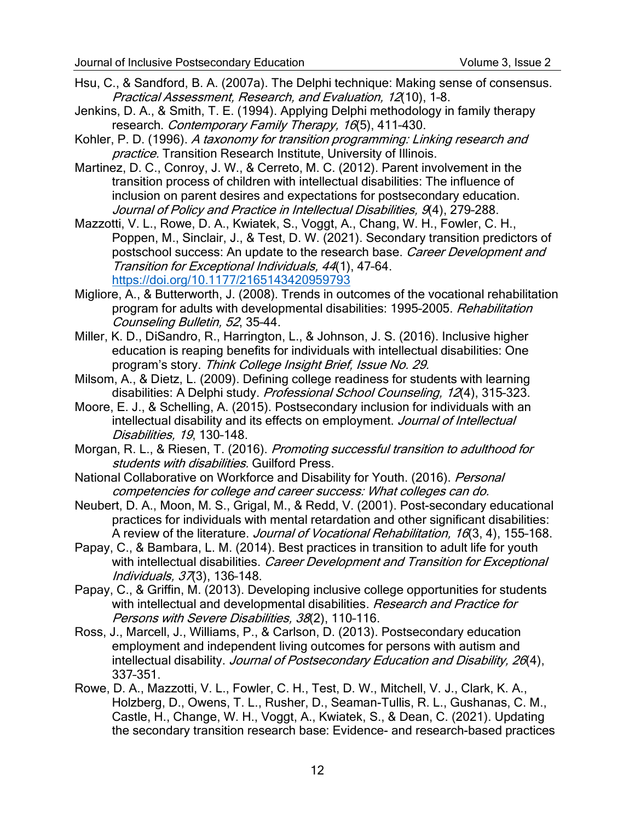- Hsu, C., & Sandford, B. A. (2007a). The Delphi technique: Making sense of consensus. Practical Assessment, Research, and Evaluation, 12(10), 1–8.
- Jenkins, D. A., & Smith, T. E. (1994). Applying Delphi methodology in family therapy research. Contemporary Family Therapy, 16(5), 411-430.
- Kohler, P. D. (1996). A taxonomy for transition programming: Linking research and practice. Transition Research Institute, University of Illinois.
- Martinez, D. C., Conroy, J. W., & Cerreto, M. C. (2012). Parent involvement in the transition process of children with intellectual disabilities: The influence of inclusion on parent desires and expectations for postsecondary education. Journal of Policy and Practice in Intellectual Disabilities, 9(4), 279–288.
- Mazzotti, V. L., Rowe, D. A., Kwiatek, S., Voggt, A., Chang, W. H., Fowler, C. H., Poppen, M., Sinclair, J., & Test, D. W. (2021). Secondary transition predictors of postschool success: An update to the research base. Career Development and Transition for Exceptional Individuals, 44(1), 47–64. <https://doi.org/10.1177/2165143420959793>
- Migliore, A., & Butterworth, J. (2008). Trends in outcomes of the vocational rehabilitation program for adults with developmental disabilities: 1995-2005. Rehabilitation Counseling Bulletin, 52, 35–44.
- Miller, K. D., DiSandro, R., Harrington, L., & Johnson, J. S. (2016). Inclusive higher education is reaping benefits for individuals with intellectual disabilities: One program's story. Think College Insight Brief, Issue No. 29.
- Milsom, A., & Dietz, L. (2009). Defining college readiness for students with learning disabilities: A Delphi study. Professional School Counseling, 12(4), 315-323.
- Moore, E. J., & Schelling, A. (2015). Postsecondary inclusion for individuals with an intellectual disability and its effects on employment. Journal of Intellectual Disabilities, 19, 130–148.
- Morgan, R. L., & Riesen, T. (2016). Promoting successful transition to adulthood for students with disabilities. Guilford Press.
- National Collaborative on Workforce and Disability for Youth. (2016). Personal competencies for college and career success: What colleges can do.
- Neubert, D. A., Moon, M. S., Grigal, M., & Redd, V. (2001). Post-secondary educational practices for individuals with mental retardation and other significant disabilities: A review of the literature. Journal of Vocational Rehabilitation, 16(3, 4), 155-168.
- Papay, C., & Bambara, L. M. (2014). Best practices in transition to adult life for youth with intellectual disabilities. Career Development and Transition for Exceptional Individuals, 37(3), 136–148.
- Papay, C., & Griffin, M. (2013). Developing inclusive college opportunities for students with intellectual and developmental disabilities. Research and Practice for Persons with Severe Disabilities, 38(2), 110–116.
- Ross, J., Marcell, J., Williams, P., & Carlson, D. (2013). Postsecondary education employment and independent living outcomes for persons with autism and intellectual disability. Journal of Postsecondary Education and Disability, 26(4), 337–351.
- Rowe, D. A., Mazzotti, V. L., Fowler, C. H., Test, D. W., Mitchell, V. J., Clark, K. A., Holzberg, D., Owens, T. L., Rusher, D., Seaman-Tullis, R. L., Gushanas, C. M., Castle, H., Change, W. H., Voggt, A., Kwiatek, S., & Dean, C. (2021). Updating the secondary transition research base: Evidence- and research-based practices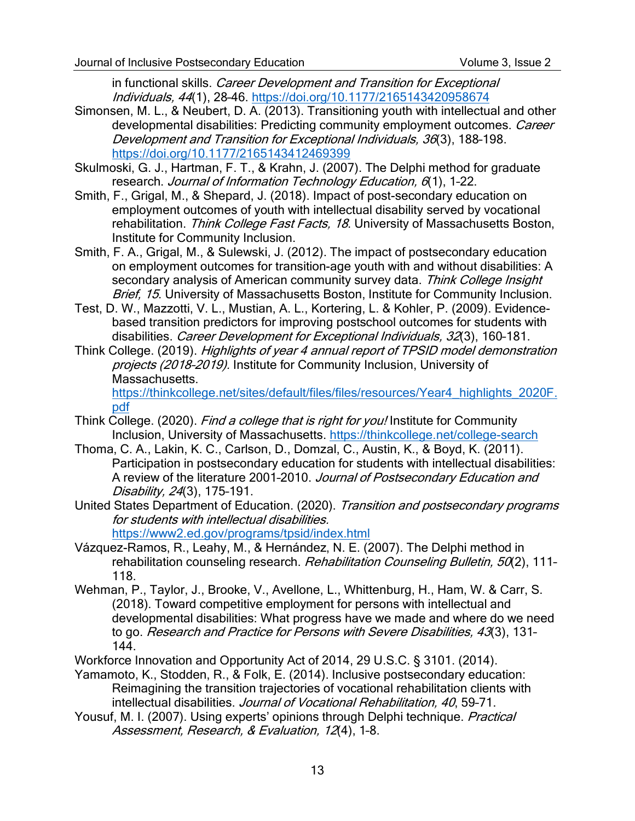in functional skills. Career Development and Transition for Exceptional Individuals, 44(1), 28–46.<https://doi.org/10.1177/2165143420958674>

- Simonsen, M. L., & Neubert, D. A. (2013). Transitioning youth with intellectual and other developmental disabilities: Predicting community employment outcomes. Career Development and Transition for Exceptional Individuals, 36(3), 188–198. <https://doi.org/10.1177/2165143412469399>
- Skulmoski, G. J., Hartman, F. T., & Krahn, J. (2007). The Delphi method for graduate research. Journal of Information Technology Education, 6(1), 1-22.
- Smith, F., Grigal, M., & Shepard, J. (2018). Impact of post-secondary education on employment outcomes of youth with intellectual disability served by vocational rehabilitation. Think College Fast Facts, 18. University of Massachusetts Boston, Institute for Community Inclusion.
- Smith, F. A., Grigal, M., & Sulewski, J. (2012). The impact of postsecondary education on employment outcomes for transition-age youth with and without disabilities: A secondary analysis of American community survey data. Think College Insight Brief, 15. University of Massachusetts Boston, Institute for Community Inclusion.
- Test, D. W., Mazzotti, V. L., Mustian, A. L., Kortering, L. & Kohler, P. (2009). Evidencebased transition predictors for improving postschool outcomes for students with disabilities. Career Development for Exceptional Individuals, 32(3), 160-181.
- Think College. (2019). Highlights of year 4 annual report of TPSID model demonstration projects (2018–2019). Institute for Community Inclusion, University of Massachusetts. [https://thinkcollege.net/sites/default/files/files/resources/Year4\\_highlights\\_2020F.](https://thinkcollege.net/sites/default/files/files/resources/Year4_highlights_2020F.pdf)

[pdf](https://thinkcollege.net/sites/default/files/files/resources/Year4_highlights_2020F.pdf)

- Think College. (2020). Find a college that is right for you! Institute for Community Inclusion, University of Massachusetts.<https://thinkcollege.net/college-search>
- Thoma, C. A., Lakin, K. C., Carlson, D., Domzal, C., Austin, K., & Boyd, K. (2011). Participation in postsecondary education for students with intellectual disabilities: A review of the literature 2001-2010. Journal of Postsecondary Education and Disability, 24(3), 175–191.
- United States Department of Education. (2020). Transition and postsecondary programs for students with intellectual disabilities. <https://www2.ed.gov/programs/tpsid/index.html>
- Vázquez-Ramos, R., Leahy, M., & Hernández, N. E. (2007). The Delphi method in rehabilitation counseling research. Rehabilitation Counseling Bulletin, 50(2), 111-118.
- Wehman, P., Taylor, J., Brooke, V., Avellone, L., Whittenburg, H., Ham, W. & Carr, S. (2018). Toward competitive employment for persons with intellectual and developmental disabilities: What progress have we made and where do we need to go. Research and Practice for Persons with Severe Disabilities, 43(3), 131-144.
- Workforce Innovation and Opportunity Act of 2014, 29 U.S.C. § 3101. (2014).
- Yamamoto, K., Stodden, R., & Folk, E. (2014). Inclusive postsecondary education: Reimagining the transition trajectories of vocational rehabilitation clients with intellectual disabilities. Journal of Vocational Rehabilitation, 40, 59–71.
- Yousuf, M. I. (2007). Using experts' opinions through Delphi technique. *Practical* Assessment, Research, & Evaluation, 12(4), 1-8.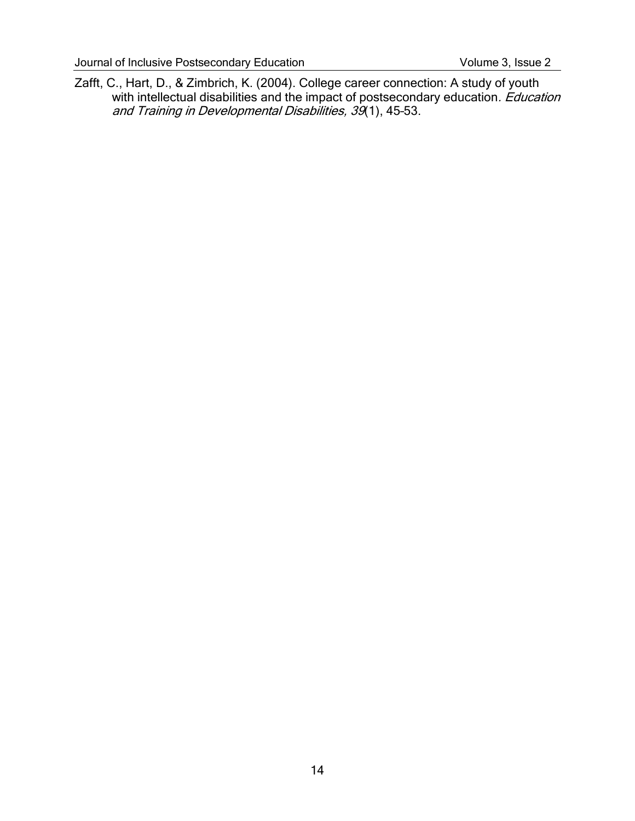Zafft, C., Hart, D., & Zimbrich, K. (2004). College career connection: A study of youth with intellectual disabilities and the impact of postsecondary education. Education and Training in Developmental Disabilities, 39(1), 45–53.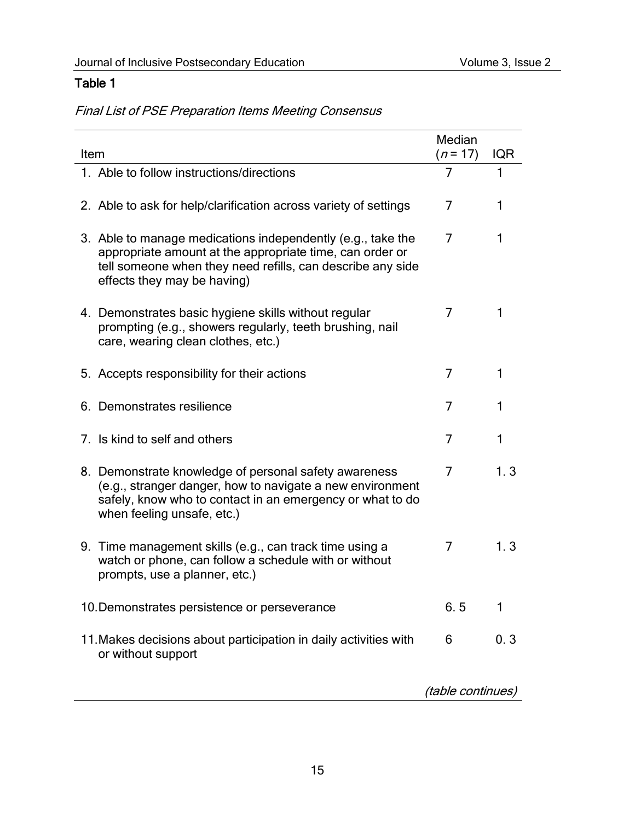# Table 1

Final List of PSE Preparation Items Meeting Consensus

| Item                                                                                                                                                                                                                 | Median<br>$(n = 17)$ | <b>IQR</b> |
|----------------------------------------------------------------------------------------------------------------------------------------------------------------------------------------------------------------------|----------------------|------------|
| 1. Able to follow instructions/directions                                                                                                                                                                            | $\overline{7}$       | 1          |
| 2. Able to ask for help/clarification across variety of settings                                                                                                                                                     | 7                    | 1          |
| 3. Able to manage medications independently (e.g., take the<br>appropriate amount at the appropriate time, can order or<br>tell someone when they need refills, can describe any side<br>effects they may be having) | 7                    | 1          |
| 4. Demonstrates basic hygiene skills without regular<br>prompting (e.g., showers regularly, teeth brushing, nail<br>care, wearing clean clothes, etc.)                                                               | 7                    | 1.         |
| 5. Accepts responsibility for their actions                                                                                                                                                                          | 7                    | 1          |
| 6. Demonstrates resilience                                                                                                                                                                                           | 7                    | 1          |
| 7. Is kind to self and others                                                                                                                                                                                        | 7                    | 1          |
| 8. Demonstrate knowledge of personal safety awareness<br>(e.g., stranger danger, how to navigate a new environment<br>safely, know who to contact in an emergency or what to do<br>when feeling unsafe, etc.)        | 7                    | 1.3        |
| 9. Time management skills (e.g., can track time using a<br>watch or phone, can follow a schedule with or without<br>prompts, use a planner, etc.)                                                                    | 7                    | 1.3        |
| 10. Demonstrates persistence or perseverance                                                                                                                                                                         | 6.5                  | 1          |
| 11. Makes decisions about participation in daily activities with<br>or without support                                                                                                                               | 6                    | 0.3        |
| (table continues)                                                                                                                                                                                                    |                      |            |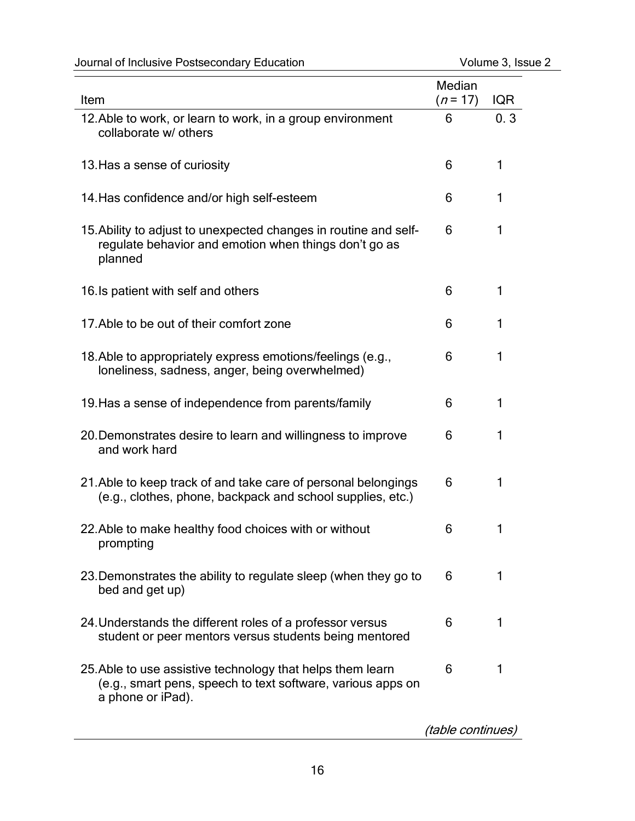| Journal of Inclusive Postsecondary Education | Volume 3, Issue 2 |
|----------------------------------------------|-------------------|
|                                              |                   |

| Item                                                                                                                                           | Median<br>$(n=17)$ | <b>IQR</b> |
|------------------------------------------------------------------------------------------------------------------------------------------------|--------------------|------------|
| 12. Able to work, or learn to work, in a group environment<br>collaborate w/ others                                                            | 6                  | 0.3        |
| 13. Has a sense of curiosity                                                                                                                   | 6                  | 1          |
| 14. Has confidence and/or high self-esteem                                                                                                     | 6                  | 1          |
| 15. Ability to adjust to unexpected changes in routine and self-<br>regulate behavior and emotion when things don't go as<br>planned           | 6                  | 1          |
| 16. Is patient with self and others                                                                                                            | 6                  | 1          |
| 17. Able to be out of their comfort zone                                                                                                       | 6                  | 1          |
| 18. Able to appropriately express emotions/feelings (e.g.,<br>loneliness, sadness, anger, being overwhelmed)                                   | 6                  | 1          |
| 19. Has a sense of independence from parents/family                                                                                            | 6                  | 1          |
| 20. Demonstrates desire to learn and willingness to improve<br>and work hard                                                                   | 6                  | 1          |
| 21. Able to keep track of and take care of personal belongings<br>(e.g., clothes, phone, backpack and school supplies, etc.)                   | 6                  | 1          |
| 22. Able to make healthy food choices with or without<br>prompting                                                                             | 6                  | 1          |
| 23. Demonstrates the ability to regulate sleep (when they go to<br>bed and get up)                                                             | 6                  | 1          |
| 24. Understands the different roles of a professor versus<br>student or peer mentors versus students being mentored                            | 6                  | 1          |
| 25. Able to use assistive technology that helps them learn<br>(e.g., smart pens, speech to text software, various apps on<br>a phone or iPad). | 6                  | 1          |

(table continues)